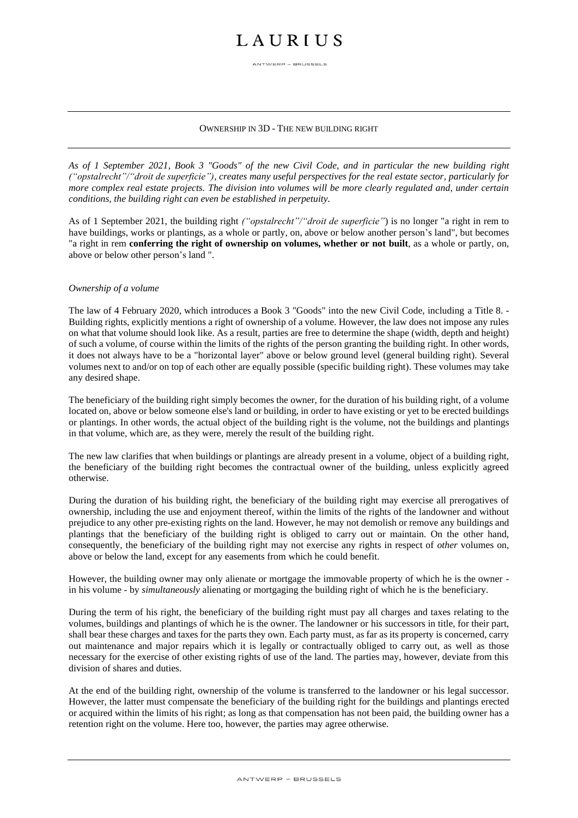## **LAURIUS**

ANTWERP - BRUSSELS

### OWNERSHIP IN 3D - THE NEW BUILDING RIGHT

*As of 1 September 2021, Book 3 "Goods" of the new Civil Code, and in particular the new building right ("opstalrecht"/"droit de superficie"), creates many useful perspectives for the real estate sector, particularly for more complex real estate projects. The division into volumes will be more clearly regulated and, under certain conditions, the building right can even be established in perpetuity.*

As of 1 September 2021, the building right *("opstalrecht"/"droit de superficie"*) is no longer "a right in rem to have buildings, works or plantings, as a whole or partly, on, above or below another person's land", but becomes "a right in rem **conferring the right of ownership on volumes, whether or not built**, as a whole or partly, on, above or below other person's land ".

### *Ownership of a volume*

The law of 4 February 2020, which introduces a Book 3 "Goods" into the new Civil Code, including a Title 8. - Building rights, explicitly mentions a right of ownership of a volume. However, the law does not impose any rules on what that volume should look like. As a result, parties are free to determine the shape (width, depth and height) of such a volume, of course within the limits of the rights of the person granting the building right. In other words, it does not always have to be a "horizontal layer" above or below ground level (general building right). Several volumes next to and/or on top of each other are equally possible (specific building right). These volumes may take any desired shape.

The beneficiary of the building right simply becomes the owner, for the duration of his building right, of a volume located on, above or below someone else's land or building, in order to have existing or yet to be erected buildings or plantings. In other words, the actual object of the building right is the volume, not the buildings and plantings in that volume, which are, as they were, merely the result of the building right.

The new law clarifies that when buildings or plantings are already present in a volume, object of a building right, the beneficiary of the building right becomes the contractual owner of the building, unless explicitly agreed otherwise.

During the duration of his building right, the beneficiary of the building right may exercise all prerogatives of ownership, including the use and enjoyment thereof, within the limits of the rights of the landowner and without prejudice to any other pre-existing rights on the land. However, he may not demolish or remove any buildings and plantings that the beneficiary of the building right is obliged to carry out or maintain. On the other hand, consequently, the beneficiary of the building right may not exercise any rights in respect of *other* volumes on, above or below the land, except for any easements from which he could benefit.

However, the building owner may only alienate or mortgage the immovable property of which he is the owner in his volume - by *simultaneously* alienating or mortgaging the building right of which he is the beneficiary.

During the term of his right, the beneficiary of the building right must pay all charges and taxes relating to the volumes, buildings and plantings of which he is the owner. The landowner or his successors in title, for their part, shall bear these charges and taxes for the parts they own. Each party must, as far as its property is concerned, carry out maintenance and major repairs which it is legally or contractually obliged to carry out, as well as those necessary for the exercise of other existing rights of use of the land. The parties may, however, deviate from this division of shares and duties.

At the end of the building right, ownership of the volume is transferred to the landowner or his legal successor. However, the latter must compensate the beneficiary of the building right for the buildings and plantings erected or acquired within the limits of his right; as long as that compensation has not been paid, the building owner has a retention right on the volume. Here too, however, the parties may agree otherwise.